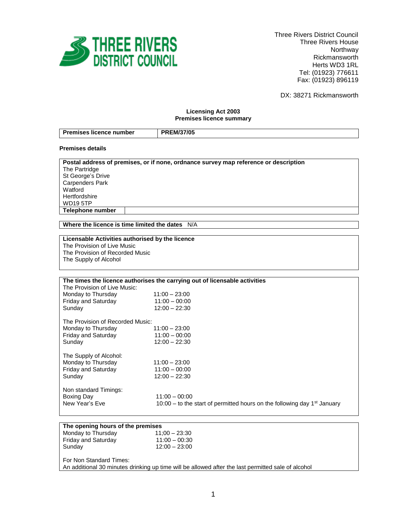

 Three Rivers District Council Three Rivers House Northway Rickmansworth Herts WD3 1RL Tel: (01923) 776611 Fax: (01923) 896119

DX: 38271 Rickmansworth

## **Licensing Act 2003 Premises licence summary**

| Premises licence number | <b>PREM/37/05</b> |
|-------------------------|-------------------|

### **Premises details**

| Postal address of premises, or if none, ordnance survey map reference or description |
|--------------------------------------------------------------------------------------|
| The Partridge                                                                        |
| St George's Drive                                                                    |
| Carpenders Park                                                                      |
| Watford                                                                              |
| Hertfordshire                                                                        |
| <b>WD19 5TP</b>                                                                      |
| Telephone number                                                                     |

**Where the licence is time limited the dates** N/A

# **Licensable Activities authorised by the licence**

The Provision of Live Music The Provision of Recorded Music

The Supply of Alcohol

| The times the licence authorises the carrying out of licensable activities |                                                                                                         |  |
|----------------------------------------------------------------------------|---------------------------------------------------------------------------------------------------------|--|
| The Provision of Live Music:                                               |                                                                                                         |  |
| Monday to Thursday                                                         | $11:00 - 23:00$                                                                                         |  |
| <b>Friday and Saturday</b>                                                 | $11:00 - 00:00$                                                                                         |  |
| Sunday                                                                     | $12:00 - 22:30$                                                                                         |  |
| The Provision of Recorded Music:                                           |                                                                                                         |  |
| Monday to Thursday                                                         | $11:00 - 23:00$                                                                                         |  |
| <b>Friday and Saturday</b>                                                 | $11:00 - 00:00$                                                                                         |  |
| Sunday                                                                     | $12:00 - 22:30$                                                                                         |  |
| The Supply of Alcohol:                                                     |                                                                                                         |  |
| Monday to Thursday                                                         | $11:00 - 23:00$                                                                                         |  |
| <b>Friday and Saturday</b>                                                 | $11:00 - 00:00$                                                                                         |  |
| Sunday                                                                     | $12:00 - 22:30$                                                                                         |  |
| Non standard Timings:<br>Boxing Day<br>New Year's Eve                      | $11:00 - 00:00$<br>10:00 – to the start of permitted hours on the following day 1 <sup>st</sup> January |  |

# **The opening hours of the premises**

| Monday to Thursday         | $11:00 - 23:30$ |
|----------------------------|-----------------|
| <b>Friday and Saturday</b> | $11:00 - 00:30$ |
| Sunday                     | $12:00 - 23:00$ |
|                            |                 |

For Non Standard Times: An additional 30 minutes drinking up time will be allowed after the last permitted sale of alcohol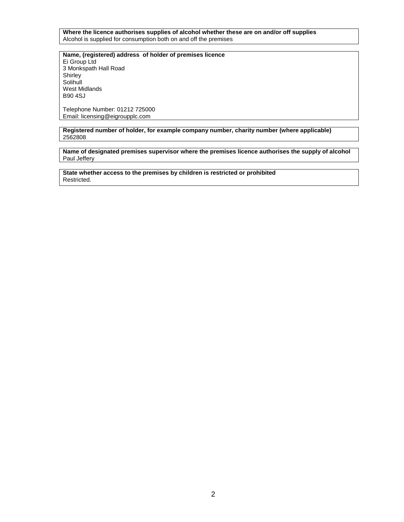**Where the licence authorises supplies of alcohol whether these are on and/or off supplies** Alcohol is supplied for consumption both on and off the premises

**Name, (registered) address of holder of premises licence** Ei Group Ltd 3 Monkspath Hall Road Shirley **Solihull** West Midlands B90 4SJ

Telephone Number: 01212 725000 Email: licensing@eigroupplc.com

**Registered number of holder, for example company number, charity number (where applicable)** 2562808

**Name of designated premises supervisor where the premises licence authorises the supply of alcohol** Paul Jeffery

**State whether access to the premises by children is restricted or prohibited** Restricted.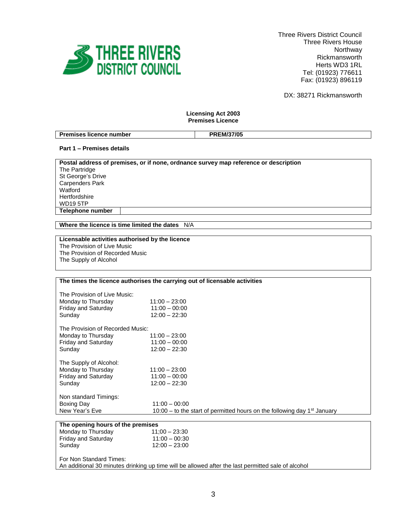

 Three Rivers District Council Three Rivers House Northway Rickmansworth Herts WD3 1RL Tel: (01923) 776611 Fax: (01923) 896119

DX: 38271 Rickmansworth

## **Licensing Act 2003 Premises Licence**

| -                              | <b>PREM/37/05</b> |
|--------------------------------|-------------------|
| <b>Premises licence number</b> | .                 |

# **Part 1 – Premises details**

| Postal address of premises, or if none, ordnance survey map reference or description |
|--------------------------------------------------------------------------------------|
|                                                                                      |
| The Partridge                                                                        |
| St George's Drive                                                                    |
| Carpenders Park                                                                      |
| Watford                                                                              |
| Hertfordshire                                                                        |
| <b>WD195TP</b>                                                                       |
| Telephone number                                                                     |

**Where the licence is time limited the dates** N/A

# **Licensable activities authorised by the licence**

The Provision of Live Music The Provision of Recorded Music The Supply of Alcohol

## **The times the licence authorises the carrying out of licensable activities**

| The Provision of Live Music:<br>Monday to Thursday<br><b>Friday and Saturday</b><br>Sunday | $11:00 - 23:00$<br>$11:00 - 00:00$<br>$12:00 - 22:30$                                |  |
|--------------------------------------------------------------------------------------------|--------------------------------------------------------------------------------------|--|
| The Provision of Recorded Music:                                                           |                                                                                      |  |
| Monday to Thursday                                                                         | $11:00 - 23:00$                                                                      |  |
| <b>Friday and Saturday</b>                                                                 | $11:00 - 00:00$                                                                      |  |
| Sunday                                                                                     | $12:00 - 22:30$                                                                      |  |
| The Supply of Alcohol:                                                                     |                                                                                      |  |
| Monday to Thursday                                                                         | $11:00 - 23:00$                                                                      |  |
| <b>Friday and Saturday</b>                                                                 | $11:00 - 00:00$                                                                      |  |
| Sunday                                                                                     | $12:00 - 22:30$                                                                      |  |
| Non standard Timings:                                                                      |                                                                                      |  |
| Boxing Day                                                                                 | $11:00 - 00:00$                                                                      |  |
| New Year's Eve                                                                             | 10:00 – to the start of permitted hours on the following day 1 <sup>st</sup> January |  |
|                                                                                            |                                                                                      |  |
| The opening hours of the premises                                                          |                                                                                      |  |

| Monday to Thursday                                                                                                            | $11:00 - 23:30$ |  |
|-------------------------------------------------------------------------------------------------------------------------------|-----------------|--|
| <b>Friday and Saturday</b>                                                                                                    | $11:00 - 00:30$ |  |
| Sunday                                                                                                                        | $12:00 - 23:00$ |  |
| For Non Standard Times:<br>An additional 30 minutes drinking up time will be allowed after the last permitted sale of alcohol |                 |  |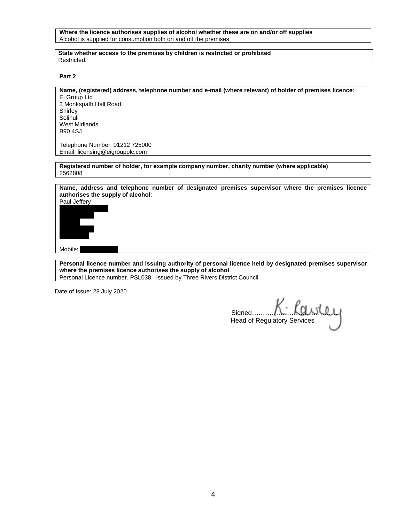### **Where the licence authorises supplies of alcohol whether these are on and/or off supplies** Alcohol is supplied for consumption both on and off the premises

#### **State whether access to the premises by children is restricted or prohibited** Restricted.

#### **Part 2**

# **Name, (registered) address, telephone number and e-mail (where relevant) of holder of premises licence**:

Ei Group Ltd 3 Monkspath Hall Road Shirley Solihull West Midlands B90 4SJ

Telephone Number: 01212 725000 Email: licensing@eigroupplc.com

**Registered number of holder, for example company number, charity number (where applicable)** 2562808

**Name, address and telephone number of designated premises supervisor where the premises licence authorises the supply of alcohol**:



Mobile:

**Personal licence number and issuing authority of personal licence held by designated premises supervisor where the premises licence authorises the supply of alcohol** Personal Licence number. PSL038 Issued by Three Rivers District Council

Date of Issue: 28 July 2020

Signed………………………………… Head of Regulatory Services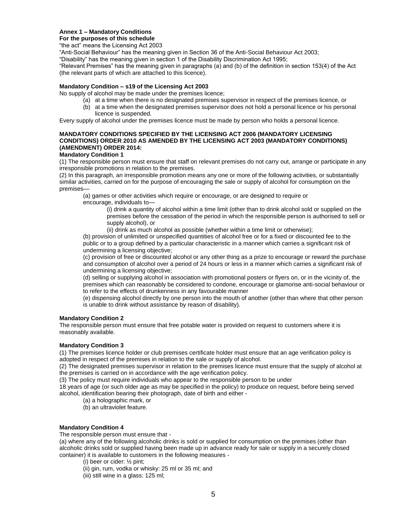## **Annex 1 – Mandatory Conditions**

#### **For the purposes of this schedule**

"the act" means the Licensing Act 2003

"Anti-Social Behaviour" has the meaning given in Section 36 of the Anti-Social Behaviour Act 2003;

"Disability" has the meaning given in section 1 of the Disability Discrimination Act 1995;

"Relevant Premises" has the meaning given in paragraphs (a) and (b) of the definition in section 153(4) of the Act (the relevant parts of which are attached to this licence).

## **Mandatory Condition – s19 of the Licensing Act 2003**

No supply of alcohol may be made under the premises licence;

- (a) at a time when there is no designated premises supervisor in respect of the premises licence, or
- (b) at a time when the designated premises supervisor does not hold a personal licence or his personal licence is suspended.

Every supply of alcohol under the premises licence must be made by person who holds a personal licence.

## **MANDATORY CONDITIONS SPECIFIED BY THE LICENSING ACT 2006 (MANDATORY LICENSING CONDITIONS) ORDER 2010 AS AMENDED BY THE LICENSING ACT 2003 (MANDATORY CONDITIONS) (AMENDMENT) ORDER 2014:**

#### **Mandatory Condition 1**

(1) The responsible person must ensure that staff on relevant premises do not carry out, arrange or participate in any irresponsible promotions in relation to the premises.

(2) In this paragraph, an irresponsible promotion means any one or more of the following activities, or substantially similar activities, carried on for the purpose of encouraging the sale or supply of alcohol for consumption on the premises—

(a) games or other activities which require or encourage, or are designed to require or

encourage, individuals to—

(i) drink a quantity of alcohol within a time limit (other than to drink alcohol sold or supplied on the premises before the cessation of the period in which the responsible person is authorised to sell or supply alcohol), or

(ii) drink as much alcohol as possible (whether within a time limit or otherwise);

(b) provision of unlimited or unspecified quantities of alcohol free or for a fixed or discounted fee to the public or to a group defined by a particular characteristic in a manner which carries a significant risk of undermining a licensing objective;

(c) provision of free or discounted alcohol or any other thing as a prize to encourage or reward the purchase and consumption of alcohol over a period of 24 hours or less in a manner which carries a significant risk of undermining a licensing objective;

(d) selling or supplying alcohol in association with promotional posters or flyers on, or in the vicinity of, the premises which can reasonably be considered to condone, encourage or glamorise anti-social behaviour or to refer to the effects of drunkenness in any favourable manner

(e) dispensing alcohol directly by one person into the mouth of another (other than where that other person is unable to drink without assistance by reason of disability).

## **Mandatory Condition 2**

The responsible person must ensure that free potable water is provided on request to customers where it is reasonably available.

## **Mandatory Condition 3**

(1) The premises licence holder or club premises certificate holder must ensure that an age verification policy is adopted in respect of the premises in relation to the sale or supply of alcohol.

(2) The designated premises supervisor in relation to the premises licence must ensure that the supply of alcohol at the premises is carried on in accordance with the age verification policy.

(3) The policy must require individuals who appear to the responsible person to be under

18 years of age (or such older age as may be specified in the policy) to produce on request, before being served alcohol, identification bearing their photograph, date of birth and either -

(a) a holographic mark, or

(b) an ultraviolet feature.

## **Mandatory Condition 4**

The responsible person must ensure that -

(a) where any of the following alcoholic drinks is sold or supplied for consumption on the premises (other than alcoholic drinks sold or supplied having been made up in advance ready for sale or supply in a securely closed container) it is available to customers in the following measures -

- (i) beer or cider: ½ pint;
- (ii) gin, rum, vodka or whisky: 25 ml or 35 ml; and
- (iii) still wine in a glass: 125 ml;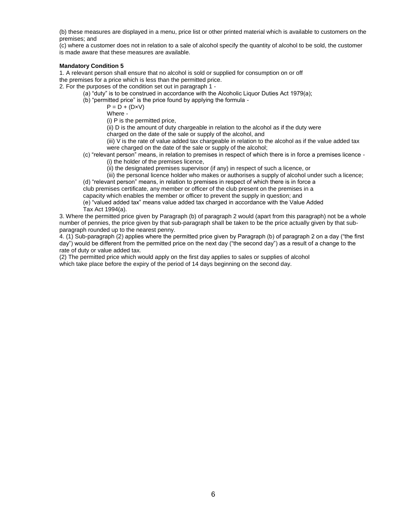(b) these measures are displayed in a menu, price list or other printed material which is available to customers on the premises; and

(c) where a customer does not in relation to a sale of alcohol specify the quantity of alcohol to be sold, the customer is made aware that these measures are available.

### **Mandatory Condition 5**

1. A relevant person shall ensure that no alcohol is sold or supplied for consumption on or off the premises for a price which is less than the permitted price.

2. For the purposes of the condition set out in paragraph 1 -

- (a) "duty" is to be construed in accordance with the Alcoholic Liquor Duties Act 1979(a);
	- (b) "permitted price" is the price found by applying the formula -

 $P = D + (D \times V)$ 

Where -

(i) P is the permitted price,

(ii) D is the amount of duty chargeable in relation to the alcohol as if the duty were

charged on the date of the sale or supply of the alcohol, and

(iii) V is the rate of value added tax chargeable in relation to the alcohol as if the value added tax were charged on the date of the sale or supply of the alcohol;

- (c) "relevant person" means, in relation to premises in respect of which there is in force a premises licence
	- (i) the holder of the premises licence,
	- (ii) the designated premises supervisor (if any) in respect of such a licence, or

(iii) the personal licence holder who makes or authorises a supply of alcohol under such a licence; (d) "relevant person" means, in relation to premises in respect of which there is in force a

club premises certificate, any member or officer of the club present on the premises in a

capacity which enables the member or officer to prevent the supply in question; and

(e) "valued added tax" means value added tax charged in accordance with the Value Added Tax Act 1994(a).

3. Where the permitted price given by Paragraph (b) of paragraph 2 would (apart from this paragraph) not be a whole number of pennies, the price given by that sub-paragraph shall be taken to be the price actually given by that subparagraph rounded up to the nearest penny.

4. (1) Sub-paragraph (2) applies where the permitted price given by Paragraph (b) of paragraph 2 on a day ("the first day") would be different from the permitted price on the next day ("the second day") as a result of a change to the rate of duty or value added tax.

(2) The permitted price which would apply on the first day applies to sales or supplies of alcohol which take place before the expiry of the period of 14 days beginning on the second day.